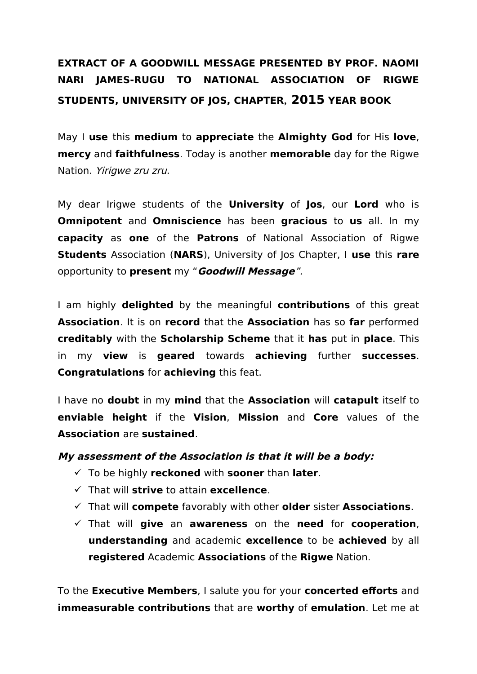## **EXTRACT OF A GOODWILL MESSAGE PRESENTED BY PROF. NAOMI NARI JAMES-RUGU TO NATIONAL ASSOCIATION OF RIGWE STUDENTS, UNIVERSITY OF JOS, CHAPTER, 2015 YEAR BOOK**

May I **use** this **medium** to **appreciate** the **Almighty God** for His **love**, **mercy** and **faithfulness**. Today is another **memorable** day for the Rigwe Nation. Yirigwe zru zru.

My dear Irigwe students of the **University** of **Jos**, our **Lord** who is **Omnipotent** and **Omniscience** has been **gracious** to **us** all. In my **capacity** as **one** of the **Patrons** of National Association of Rigwe **Students** Association (**NARS**), University of Jos Chapter, I **use** this **rare** opportunity to **present** my "**Goodwill Message**".

I am highly **delighted** by the meaningful **contributions** of this great **Association**. It is on **record** that the **Association** has so **far** performed **creditably** with the **Scholarship Scheme** that it **has** put in **place**. This in my **view** is **geared** towards **achieving** further **successes**. **Congratulations** for **achieving** this feat.

I have no **doubt** in my **mind** that the **Association** will **catapult** itself to **enviable height** if the **Vision**, **Mission** and **Core** values of the **Association** are **sustained**.

## **My assessment of the Association is that it will be a body:**

- To be highly **reckoned** with **sooner** than **later**.
- That will **strive** to attain **excellence**.
- That will **compete** favorably with other **older** sister **Associations**.
- That will **give** an **awareness** on the **need** for **cooperation**, **understanding** and academic **excellence** to be **achieved** by all **registered** Academic **Associations** of the **Rigwe** Nation.

To the **Executive Members**, I salute you for your **concerted efforts** and **immeasurable contributions** that are **worthy** of **emulation**. Let me at